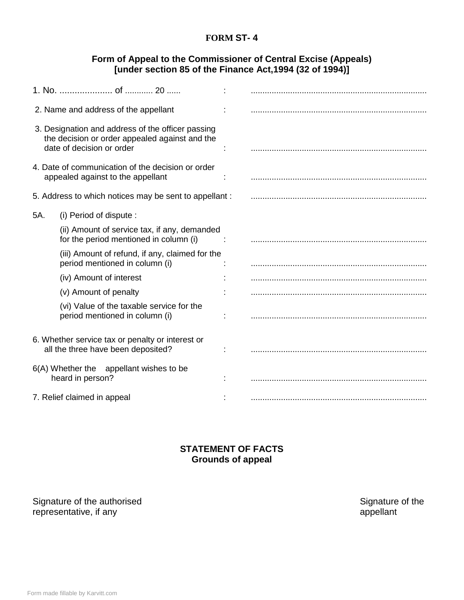## **FORM ST- 4**

## **Form of Appeal to the Commissioner of Central Excise (Appeals) [under section 85 of the Finance Act,1994 (32 of 1994)]**

| 2. Name and address of the appellant                                                                                             |                                                                                        |  |  |
|----------------------------------------------------------------------------------------------------------------------------------|----------------------------------------------------------------------------------------|--|--|
| 3. Designation and address of the officer passing<br>the decision or order appealed against and the<br>date of decision or order |                                                                                        |  |  |
| 4. Date of communication of the decision or order<br>appealed against to the appellant                                           |                                                                                        |  |  |
| 5. Address to which notices may be sent to appellant :                                                                           |                                                                                        |  |  |
| 5A.                                                                                                                              | (i) Period of dispute :                                                                |  |  |
|                                                                                                                                  | (ii) Amount of service tax, if any, demanded<br>for the period mentioned in column (i) |  |  |
|                                                                                                                                  | (iii) Amount of refund, if any, claimed for the<br>period mentioned in column (i)      |  |  |
|                                                                                                                                  | (iv) Amount of interest                                                                |  |  |
|                                                                                                                                  | (v) Amount of penalty                                                                  |  |  |
|                                                                                                                                  | (vi) Value of the taxable service for the<br>period mentioned in column (i)            |  |  |
| 6. Whether service tax or penalty or interest or<br>all the three have been deposited?                                           |                                                                                        |  |  |
| 6(A) Whether the appellant wishes to be<br>heard in person?                                                                      |                                                                                        |  |  |
| 7. Relief claimed in appeal                                                                                                      |                                                                                        |  |  |

## **STATEMENT OF FACTS Grounds of appeal**

Signature of the authorised<br>
Signature of the authorised<br>
Signature of the series of the series of the series of the series of the series of the series of the series of the series of the series of the series of the series representative, if any